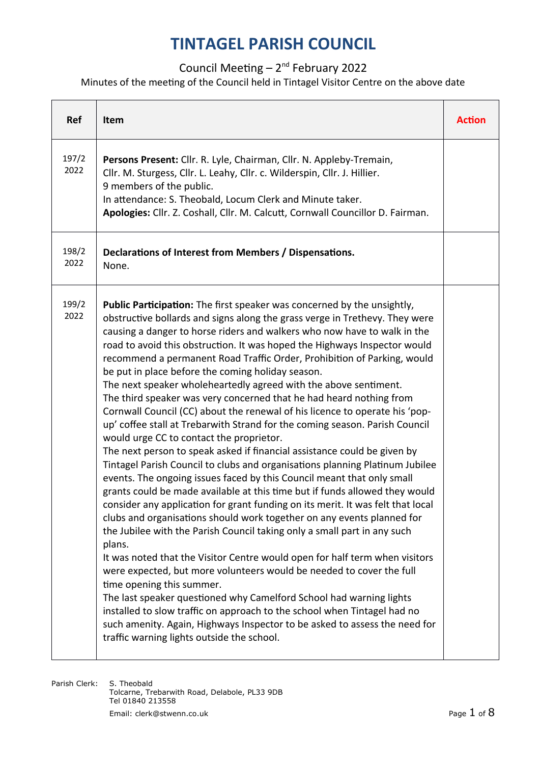#### Council Meeting  $-2^{nd}$  February 2022

#### Minutes of the meeting of the Council held in Tintagel Visitor Centre on the above date

| <b>Ref</b>    | Item                                                                                                                                                                                                                                                                                                                                                                                                                                                                                                                                                                                                                                                                                                                                                                                                                                                                                                                                                                                                                                                                                                                                                                                                                                                                                                                                                                                                                                                                                                                                                                                                                                                                                                                                                                                                                                            | <b>Action</b> |
|---------------|-------------------------------------------------------------------------------------------------------------------------------------------------------------------------------------------------------------------------------------------------------------------------------------------------------------------------------------------------------------------------------------------------------------------------------------------------------------------------------------------------------------------------------------------------------------------------------------------------------------------------------------------------------------------------------------------------------------------------------------------------------------------------------------------------------------------------------------------------------------------------------------------------------------------------------------------------------------------------------------------------------------------------------------------------------------------------------------------------------------------------------------------------------------------------------------------------------------------------------------------------------------------------------------------------------------------------------------------------------------------------------------------------------------------------------------------------------------------------------------------------------------------------------------------------------------------------------------------------------------------------------------------------------------------------------------------------------------------------------------------------------------------------------------------------------------------------------------------------|---------------|
| 197/2<br>2022 | Persons Present: Cllr. R. Lyle, Chairman, Cllr. N. Appleby-Tremain,<br>Cllr. M. Sturgess, Cllr. L. Leahy, Cllr. c. Wilderspin, Cllr. J. Hillier.<br>9 members of the public.<br>In attendance: S. Theobald, Locum Clerk and Minute taker.<br>Apologies: Cllr. Z. Coshall, Cllr. M. Calcutt, Cornwall Councillor D. Fairman.                                                                                                                                                                                                                                                                                                                                                                                                                                                                                                                                                                                                                                                                                                                                                                                                                                                                                                                                                                                                                                                                                                                                                                                                                                                                                                                                                                                                                                                                                                                     |               |
| 198/2<br>2022 | Declarations of Interest from Members / Dispensations.<br>None.                                                                                                                                                                                                                                                                                                                                                                                                                                                                                                                                                                                                                                                                                                                                                                                                                                                                                                                                                                                                                                                                                                                                                                                                                                                                                                                                                                                                                                                                                                                                                                                                                                                                                                                                                                                 |               |
| 199/2<br>2022 | Public Participation: The first speaker was concerned by the unsightly,<br>obstructive bollards and signs along the grass verge in Trethevy. They were<br>causing a danger to horse riders and walkers who now have to walk in the<br>road to avoid this obstruction. It was hoped the Highways Inspector would<br>recommend a permanent Road Traffic Order, Prohibition of Parking, would<br>be put in place before the coming holiday season.<br>The next speaker wholeheartedly agreed with the above sentiment.<br>The third speaker was very concerned that he had heard nothing from<br>Cornwall Council (CC) about the renewal of his licence to operate his 'pop-<br>up' coffee stall at Trebarwith Strand for the coming season. Parish Council<br>would urge CC to contact the proprietor.<br>The next person to speak asked if financial assistance could be given by<br>Tintagel Parish Council to clubs and organisations planning Platinum Jubilee<br>events. The ongoing issues faced by this Council meant that only small<br>grants could be made available at this time but if funds allowed they would<br>consider any application for grant funding on its merit. It was felt that local<br>clubs and organisations should work together on any events planned for<br>the Jubilee with the Parish Council taking only a small part in any such<br>plans.<br>It was noted that the Visitor Centre would open for half term when visitors<br>were expected, but more volunteers would be needed to cover the full<br>time opening this summer.<br>The last speaker questioned why Camelford School had warning lights<br>installed to slow traffic on approach to the school when Tintagel had no<br>such amenity. Again, Highways Inspector to be asked to assess the need for<br>traffic warning lights outside the school. |               |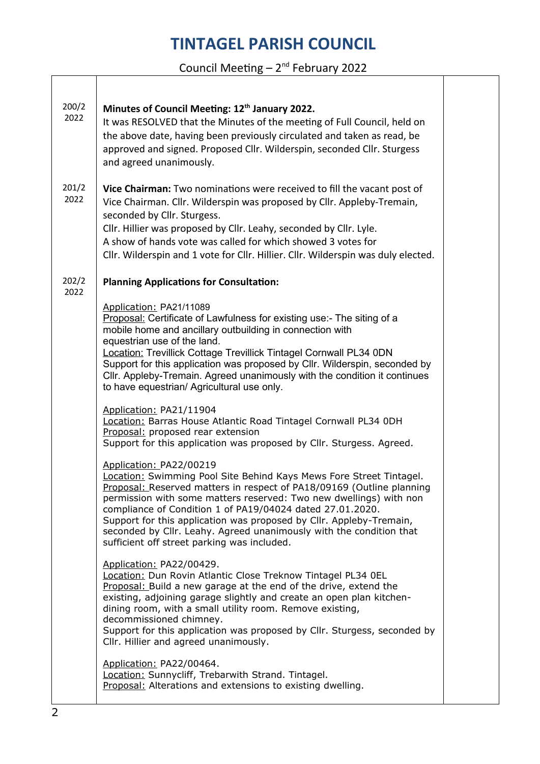Council Meeting – 2nd February 2022

| 200/2<br>2022 | Minutes of Council Meeting: 12 <sup>th</sup> January 2022.<br>It was RESOLVED that the Minutes of the meeting of Full Council, held on<br>the above date, having been previously circulated and taken as read, be<br>approved and signed. Proposed Cllr. Wilderspin, seconded Cllr. Sturgess<br>and agreed unanimously.                                                                                                                                                                                 |  |
|---------------|---------------------------------------------------------------------------------------------------------------------------------------------------------------------------------------------------------------------------------------------------------------------------------------------------------------------------------------------------------------------------------------------------------------------------------------------------------------------------------------------------------|--|
| 201/2<br>2022 | Vice Chairman: Two nominations were received to fill the vacant post of<br>Vice Chairman. Cllr. Wilderspin was proposed by Cllr. Appleby-Tremain,<br>seconded by Cllr. Sturgess.<br>Cllr. Hillier was proposed by Cllr. Leahy, seconded by Cllr. Lyle.<br>A show of hands vote was called for which showed 3 votes for<br>Cllr. Wilderspin and 1 vote for Cllr. Hillier. Cllr. Wilderspin was duly elected.                                                                                             |  |
| 202/2<br>2022 | <b>Planning Applications for Consultation:</b>                                                                                                                                                                                                                                                                                                                                                                                                                                                          |  |
|               | Application: PA21/11089<br>Proposal: Certificate of Lawfulness for existing use:- The siting of a<br>mobile home and ancillary outbuilding in connection with<br>equestrian use of the land.<br>Location: Trevillick Cottage Trevillick Tintagel Cornwall PL34 0DN<br>Support for this application was proposed by Cllr. Wilderspin, seconded by<br>Cllr. Appleby-Tremain. Agreed unanimously with the condition it continues<br>to have equestrian/ Agricultural use only.                             |  |
|               | Application: PA21/11904<br>Location: Barras House Atlantic Road Tintagel Cornwall PL34 0DH<br>Proposal: proposed rear extension<br>Support for this application was proposed by Cllr. Sturgess. Agreed.                                                                                                                                                                                                                                                                                                 |  |
|               | Application: PA22/00219<br>Location: Swimming Pool Site Behind Kays Mews Fore Street Tintagel.<br>Proposal: Reserved matters in respect of PA18/09169 (Outline planning<br>permission with some matters reserved: Two new dwellings) with non<br>compliance of Condition 1 of PA19/04024 dated 27.01.2020.<br>Support for this application was proposed by Cllr. Appleby-Tremain,<br>seconded by Cllr. Leahy. Agreed unanimously with the condition that<br>sufficient off street parking was included. |  |
|               | Application: PA22/00429.<br>Location: Dun Rovin Atlantic Close Treknow Tintagel PL34 OEL<br>Proposal: Build a new garage at the end of the drive, extend the<br>existing, adjoining garage slightly and create an open plan kitchen-<br>dining room, with a small utility room. Remove existing,<br>decommissioned chimney.<br>Support for this application was proposed by Cllr. Sturgess, seconded by<br>Cllr. Hillier and agreed unanimously.                                                        |  |
|               | Application: PA22/00464.<br>Location: Sunnycliff, Trebarwith Strand. Tintagel.<br>Proposal: Alterations and extensions to existing dwelling.                                                                                                                                                                                                                                                                                                                                                            |  |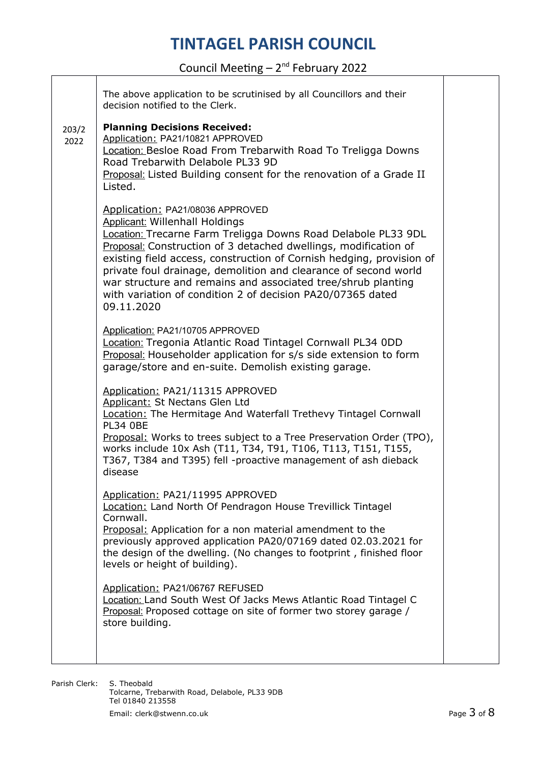Council Meeting – 2nd February 2022

┱

| The above application to be scrutinised by all Councillors and their<br>decision notified to the Clerk.                                                                                                                                                                                                                                                                                                                                                                                              |  |
|------------------------------------------------------------------------------------------------------------------------------------------------------------------------------------------------------------------------------------------------------------------------------------------------------------------------------------------------------------------------------------------------------------------------------------------------------------------------------------------------------|--|
| <b>Planning Decisions Received:</b><br>Application: PA21/10821 APPROVED<br>Location: Besloe Road From Trebarwith Road To Treligga Downs<br>Road Trebarwith Delabole PL33 9D<br><b>Proposal:</b> Listed Building consent for the renovation of a Grade II<br>Listed.                                                                                                                                                                                                                                  |  |
| Application: PA21/08036 APPROVED<br><b>Applicant: Willenhall Holdings</b><br>Location: Trecarne Farm Treligga Downs Road Delabole PL33 9DL<br>Proposal: Construction of 3 detached dwellings, modification of<br>existing field access, construction of Cornish hedging, provision of<br>private foul drainage, demolition and clearance of second world<br>war structure and remains and associated tree/shrub planting<br>with variation of condition 2 of decision PA20/07365 dated<br>09.11.2020 |  |
| Application: PA21/10705 APPROVED<br>Location: Tregonia Atlantic Road Tintagel Cornwall PL34 0DD<br>Proposal: Householder application for s/s side extension to form<br>garage/store and en-suite. Demolish existing garage.                                                                                                                                                                                                                                                                          |  |
| Application: PA21/11315 APPROVED<br>Applicant: St Nectans Glen Ltd<br>Location: The Hermitage And Waterfall Trethevy Tintagel Cornwall<br><b>PL34 OBE</b><br>Proposal: Works to trees subject to a Tree Preservation Order (TPO),<br>works include 10x Ash (T11, T34, T91, T106, T113, T151, T155,<br>T367, T384 and T395) fell -proactive management of ash dieback<br>disease                                                                                                                      |  |
| Application: PA21/11995 APPROVED<br>Location: Land North Of Pendragon House Trevillick Tintagel<br>Cornwall.<br>Proposal: Application for a non material amendment to the<br>previously approved application PA20/07169 dated 02.03.2021 for<br>the design of the dwelling. (No changes to footprint, finished floor<br>levels or height of building).                                                                                                                                               |  |
| Application: PA21/06767 REFUSED<br>Location: Land South West Of Jacks Mews Atlantic Road Tintagel C<br>Proposal: Proposed cottage on site of former two storey garage /<br>store building.                                                                                                                                                                                                                                                                                                           |  |
|                                                                                                                                                                                                                                                                                                                                                                                                                                                                                                      |  |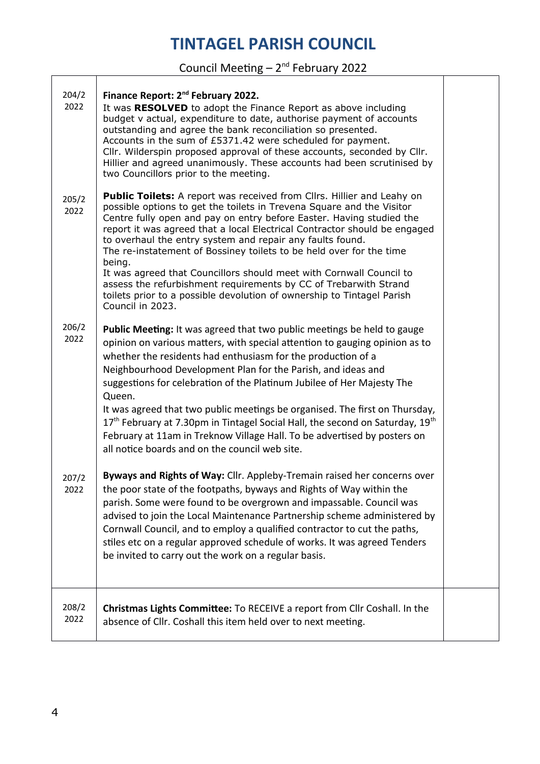#### Council Meeting  $-2^{nd}$  February 2022

T

| 204/2<br>2022 | Finance Report: 2 <sup>nd</sup> February 2022.<br>It was RESOLVED to adopt the Finance Report as above including<br>budget v actual, expenditure to date, authorise payment of accounts<br>outstanding and agree the bank reconciliation so presented.<br>Accounts in the sum of £5371.42 were scheduled for payment.<br>Cllr. Wilderspin proposed approval of these accounts, seconded by Cllr.<br>Hillier and agreed unanimously. These accounts had been scrutinised by<br>two Councillors prior to the meeting.                                                                                                                                                                                |  |
|---------------|----------------------------------------------------------------------------------------------------------------------------------------------------------------------------------------------------------------------------------------------------------------------------------------------------------------------------------------------------------------------------------------------------------------------------------------------------------------------------------------------------------------------------------------------------------------------------------------------------------------------------------------------------------------------------------------------------|--|
| 205/2<br>2022 | <b>Public Toilets:</b> A report was received from Cllrs. Hillier and Leahy on<br>possible options to get the toilets in Trevena Square and the Visitor<br>Centre fully open and pay on entry before Easter. Having studied the<br>report it was agreed that a local Electrical Contractor should be engaged<br>to overhaul the entry system and repair any faults found.<br>The re-instatement of Bossiney toilets to be held over for the time<br>being.<br>It was agreed that Councillors should meet with Cornwall Council to<br>assess the refurbishment requirements by CC of Trebarwith Strand<br>toilets prior to a possible devolution of ownership to Tintagel Parish<br>Council in 2023. |  |
| 206/2<br>2022 | Public Meeting: It was agreed that two public meetings be held to gauge<br>opinion on various matters, with special attention to gauging opinion as to<br>whether the residents had enthusiasm for the production of a<br>Neighbourhood Development Plan for the Parish, and ideas and<br>suggestions for celebration of the Platinum Jubilee of Her Majesty The<br>Queen.<br>It was agreed that two public meetings be organised. The first on Thursday,<br>17 <sup>th</sup> February at 7.30pm in Tintagel Social Hall, the second on Saturday, 19 <sup>th</sup><br>February at 11am in Treknow Village Hall. To be advertised by posters on<br>all notice boards and on the council web site.   |  |
| 207/2<br>2022 | Byways and Rights of Way: Cllr. Appleby-Tremain raised her concerns over<br>the poor state of the footpaths, byways and Rights of Way within the<br>parish. Some were found to be overgrown and impassable. Council was<br>advised to join the Local Maintenance Partnership scheme administered by<br>Cornwall Council, and to employ a qualified contractor to cut the paths,<br>stiles etc on a regular approved schedule of works. It was agreed Tenders<br>be invited to carry out the work on a regular basis.                                                                                                                                                                               |  |
| 208/2<br>2022 | Christmas Lights Committee: To RECEIVE a report from Cllr Coshall. In the<br>absence of Cllr. Coshall this item held over to next meeting.                                                                                                                                                                                                                                                                                                                                                                                                                                                                                                                                                         |  |

Т